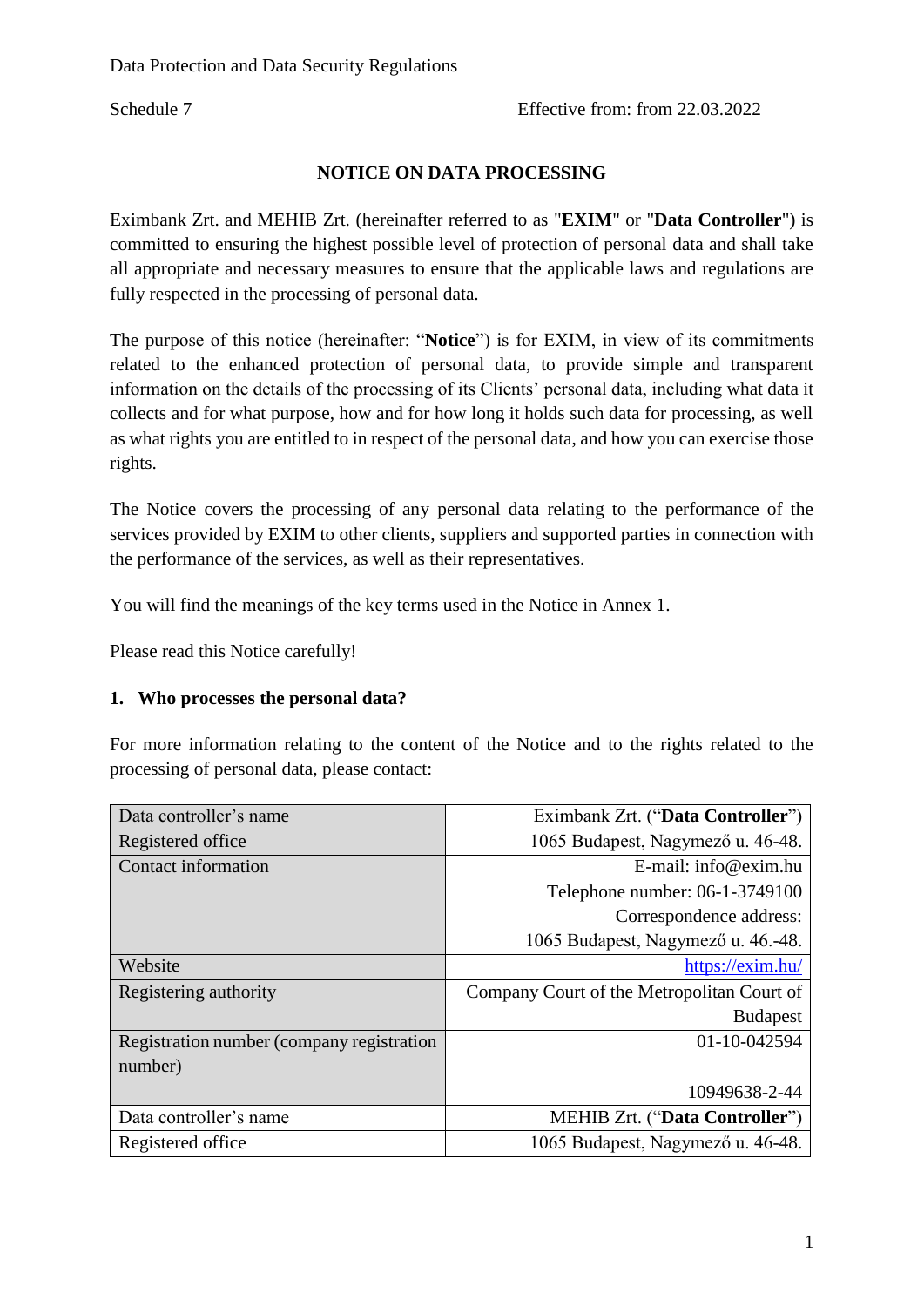Schedule 7 Effective from: from 22.03.2022

### **NOTICE ON DATA PROCESSING**

Eximbank Zrt. and MEHIB Zrt. (hereinafter referred to as "**EXIM**" or "**Data Controller**") is committed to ensuring the highest possible level of protection of personal data and shall take all appropriate and necessary measures to ensure that the applicable laws and regulations are fully respected in the processing of personal data.

The purpose of this notice (hereinafter: "**Notice**") is for EXIM, in view of its commitments related to the enhanced protection of personal data, to provide simple and transparent information on the details of the processing of its Clients' personal data, including what data it collects and for what purpose, how and for how long it holds such data for processing, as well as what rights you are entitled to in respect of the personal data, and how you can exercise those rights.

The Notice covers the processing of any personal data relating to the performance of the services provided by EXIM to other clients, suppliers and supported parties in connection with the performance of the services, as well as their representatives.

You will find the meanings of the key terms used in the Notice in Annex 1.

Please read this Notice carefully!

#### **1. Who processes the personal data?**

For more information relating to the content of the Notice and to the rights related to the processing of personal data, please contact:

| Data controller's name                    | Eximbank Zrt. ("Data Controller")          |
|-------------------------------------------|--------------------------------------------|
| Registered office                         | 1065 Budapest, Nagymező u. 46-48.          |
| Contact information                       | E-mail: $info@exim.hu$                     |
|                                           | Telephone number: 06-1-3749100             |
|                                           | Correspondence address:                    |
|                                           | 1065 Budapest, Nagymező u. 46.-48.         |
| Website                                   | https://exim.hu/                           |
| Registering authority                     | Company Court of the Metropolitan Court of |
|                                           | <b>Budapest</b>                            |
| Registration number (company registration | 01-10-042594                               |
| number)                                   |                                            |
|                                           | 10949638-2-44                              |
| Data controller's name                    | <b>MEHIB Zrt. ("Data Controller")</b>      |
| Registered office                         | 1065 Budapest, Nagymező u. 46-48.          |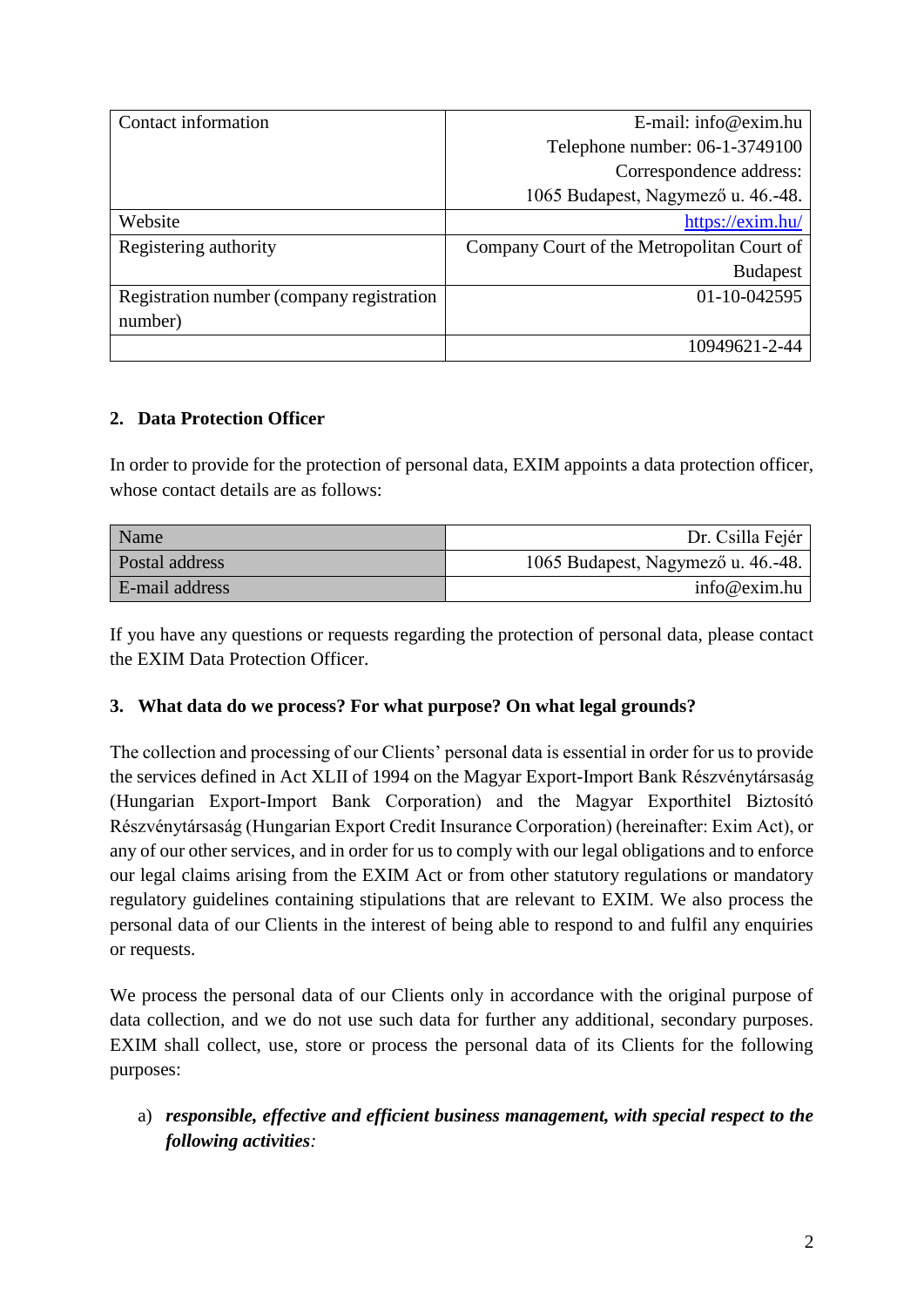| Contact information                       | $E$ -mail: info@exim.hu                    |
|-------------------------------------------|--------------------------------------------|
|                                           | Telephone number: 06-1-3749100             |
|                                           | Correspondence address:                    |
|                                           | 1065 Budapest, Nagymező u. 46.-48.         |
| Website                                   | https://exim.hu/                           |
| Registering authority                     | Company Court of the Metropolitan Court of |
|                                           | <b>Budapest</b>                            |
| Registration number (company registration | 01-10-042595                               |
| number)                                   |                                            |
|                                           | 10949621-2-44                              |

#### **2. Data Protection Officer**

In order to provide for the protection of personal data, EXIM appoints a data protection officer, whose contact details are as follows:

| Name           | Dr. Csilla Fejér                   |
|----------------|------------------------------------|
| Postal address | 1065 Budapest, Nagymező u. 46.-48. |
| E-mail address | info@exim.hu                       |

If you have any questions or requests regarding the protection of personal data, please contact the EXIM Data Protection Officer.

#### **3. What data do we process? For what purpose? On what legal grounds?**

The collection and processing of our Clients' personal data is essential in order for us to provide the services defined in Act XLII of 1994 on the Magyar Export-Import Bank Részvénytársaság (Hungarian Export-Import Bank Corporation) and the Magyar Exporthitel Biztosító Részvénytársaság (Hungarian Export Credit Insurance Corporation) (hereinafter: Exim Act), or any of our other services, and in order for us to comply with our legal obligations and to enforce our legal claims arising from the EXIM Act or from other statutory regulations or mandatory regulatory guidelines containing stipulations that are relevant to EXIM. We also process the personal data of our Clients in the interest of being able to respond to and fulfil any enquiries or requests.

We process the personal data of our Clients only in accordance with the original purpose of data collection, and we do not use such data for further any additional, secondary purposes. EXIM shall collect, use, store or process the personal data of its Clients for the following purposes:

a) *responsible, effective and efficient business management, with special respect to the following activities:*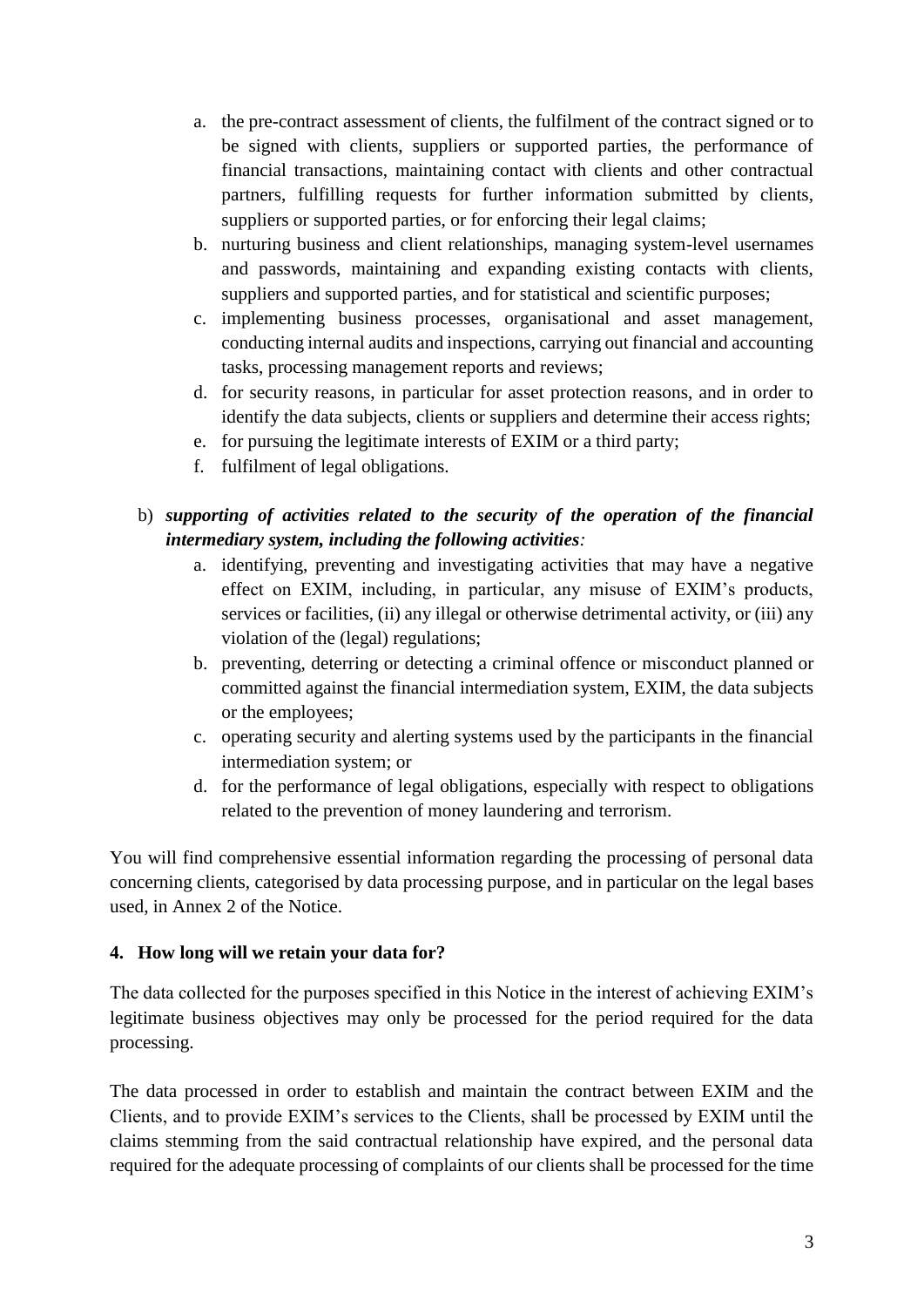- a. the pre-contract assessment of clients, the fulfilment of the contract signed or to be signed with clients, suppliers or supported parties, the performance of financial transactions, maintaining contact with clients and other contractual partners, fulfilling requests for further information submitted by clients, suppliers or supported parties, or for enforcing their legal claims;
- b. nurturing business and client relationships, managing system-level usernames and passwords, maintaining and expanding existing contacts with clients, suppliers and supported parties, and for statistical and scientific purposes;
- c. implementing business processes, organisational and asset management, conducting internal audits and inspections, carrying out financial and accounting tasks, processing management reports and reviews;
- d. for security reasons, in particular for asset protection reasons, and in order to identify the data subjects, clients or suppliers and determine their access rights;
- e. for pursuing the legitimate interests of EXIM or a third party;
- f. fulfilment of legal obligations.

## b) *supporting of activities related to the security of the operation of the financial intermediary system, including the following activities:*

- a. identifying, preventing and investigating activities that may have a negative effect on EXIM, including, in particular, any misuse of EXIM's products, services or facilities, (ii) any illegal or otherwise detrimental activity, or (iii) any violation of the (legal) regulations;
- b. preventing, deterring or detecting a criminal offence or misconduct planned or committed against the financial intermediation system, EXIM, the data subjects or the employees;
- c. operating security and alerting systems used by the participants in the financial intermediation system; or
- d. for the performance of legal obligations, especially with respect to obligations related to the prevention of money laundering and terrorism.

You will find comprehensive essential information regarding the processing of personal data concerning clients, categorised by data processing purpose, and in particular on the legal bases used, in Annex 2 of the Notice.

#### **4. How long will we retain your data for?**

The data collected for the purposes specified in this Notice in the interest of achieving EXIM's legitimate business objectives may only be processed for the period required for the data processing.

The data processed in order to establish and maintain the contract between EXIM and the Clients, and to provide EXIM's services to the Clients, shall be processed by EXIM until the claims stemming from the said contractual relationship have expired, and the personal data required for the adequate processing of complaints of our clients shall be processed for the time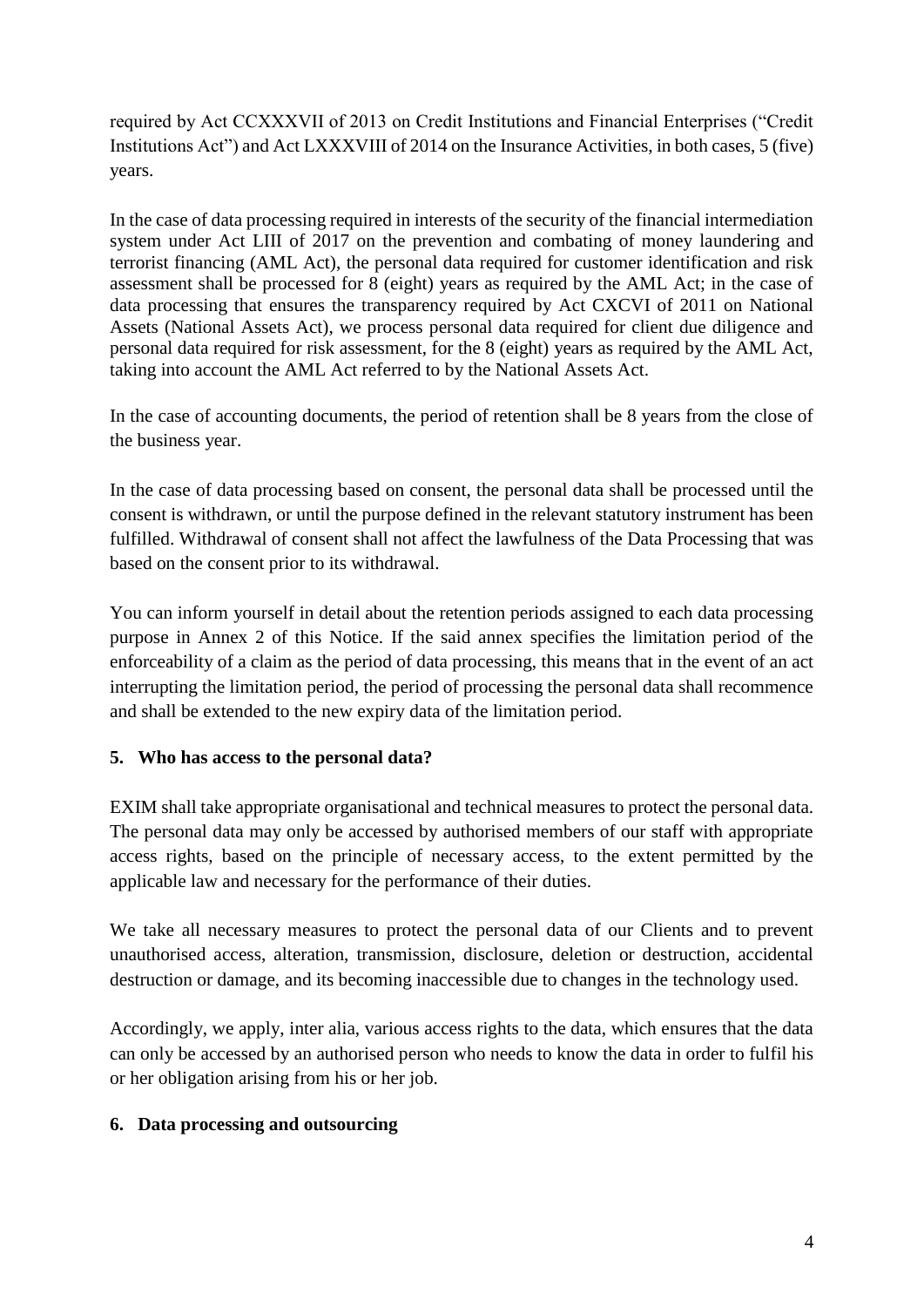required by Act CCXXXVII of 2013 on Credit Institutions and Financial Enterprises ("Credit Institutions Act") [a](https://net.jogtar.hu/jogszabaly?docid=A1400088.TV#lbj0id667d)nd Act LXXXVIII of 2014 on the Insurance Activities, in both cases, 5 (five) years.

In the case of data processing required in interests of the security of the financial intermediation system under Act LIII of 2017 on the prevention and combating of money laundering and terrorist financing (AML Act), the personal data required for customer identification and risk assessment shall be processed for 8 (eight) years as required by the AML Act; in the case of data processing that ensures the transparency required by Act CXCVI of 2011 on National Assets (National Assets Act), we process personal data required for client due diligence and personal data required for risk assessment, for the 8 (eight) years as required by the AML Act, taking into account the AML Act referred to by the National Assets Act.

In the case of accounting documents, the period of retention shall be 8 years from the close of the business year.

In the case of data processing based on consent, the personal data shall be processed until the consent is withdrawn, or until the purpose defined in the relevant statutory instrument has been fulfilled. Withdrawal of consent shall not affect the lawfulness of the Data Processing that was based on the consent prior to its withdrawal.

You can inform yourself in detail about the retention periods assigned to each data processing purpose in Annex 2 of this Notice. If the said annex specifies the limitation period of the enforceability of a claim as the period of data processing, this means that in the event of an act interrupting the limitation period, the period of processing the personal data shall recommence and shall be extended to the new expiry data of the limitation period.

### **5. Who has access to the personal data?**

EXIM shall take appropriate organisational and technical measures to protect the personal data. The personal data may only be accessed by authorised members of our staff with appropriate access rights, based on the principle of necessary access, to the extent permitted by the applicable law and necessary for the performance of their duties.

We take all necessary measures to protect the personal data of our Clients and to prevent unauthorised access, alteration, transmission, disclosure, deletion or destruction, accidental destruction or damage, and its becoming inaccessible due to changes in the technology used.

Accordingly, we apply, inter alia, various access rights to the data, which ensures that the data can only be accessed by an authorised person who needs to know the data in order to fulfil his or her obligation arising from his or her job.

### **6. Data processing and outsourcing**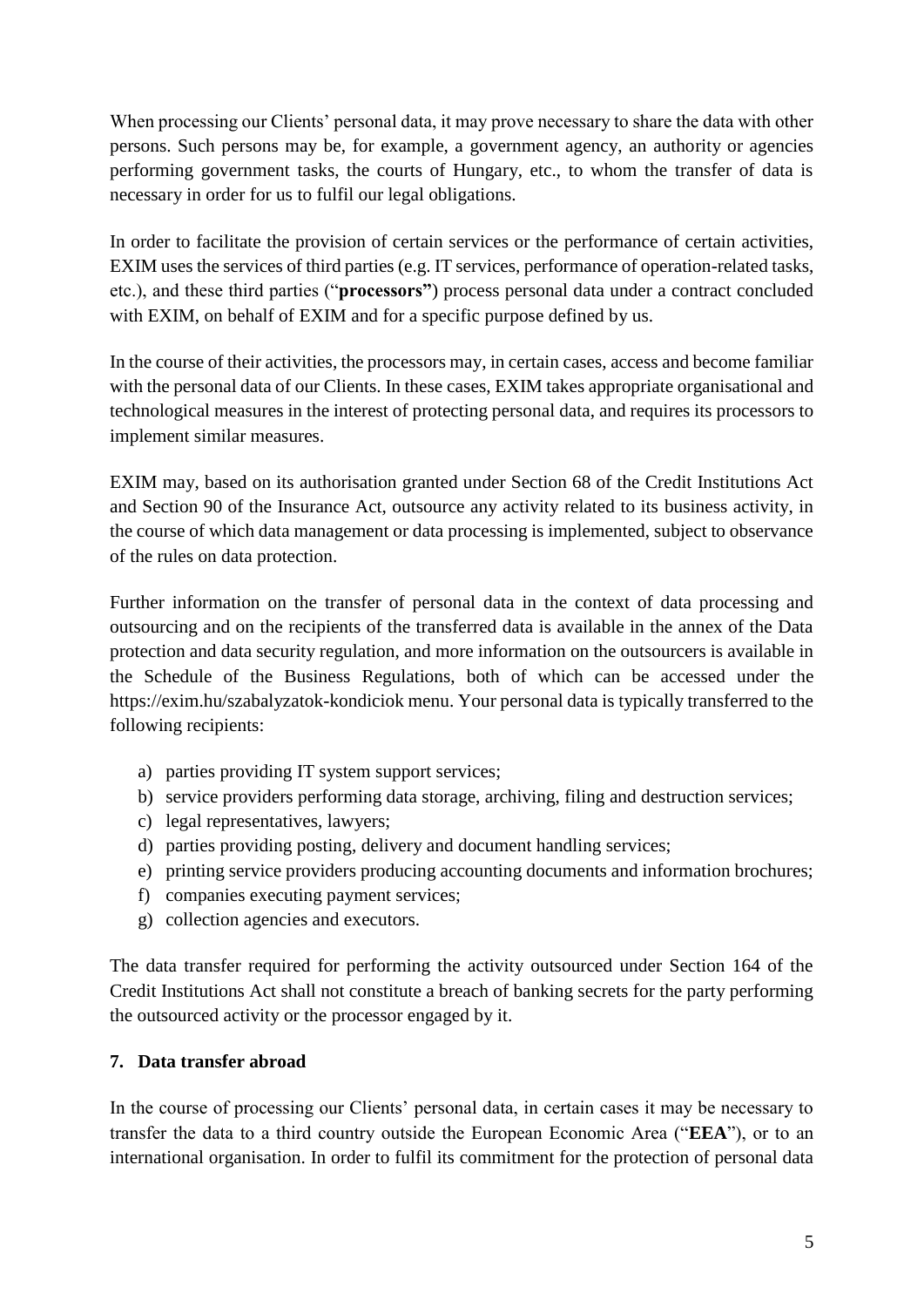When processing our Clients' personal data, it may prove necessary to share the data with other persons. Such persons may be, for example, a government agency, an authority or agencies performing government tasks, the courts of Hungary, etc., to whom the transfer of data is necessary in order for us to fulfil our legal obligations.

In order to facilitate the provision of certain services or the performance of certain activities, EXIM uses the services of third parties (e.g. IT services, performance of operation-related tasks, etc.), and these third parties ("**processors"**) process personal data under a contract concluded with EXIM, on behalf of EXIM and for a specific purpose defined by us.

In the course of their activities, the processors may, in certain cases, access and become familiar with the personal data of our Clients. In these cases, EXIM takes appropriate organisational and technological measures in the interest of protecting personal data, and requires its processors to implement similar measures.

EXIM may, based on its authorisation granted under Section 68 of the Credit Institutions Act and Section 90 of the Insurance Act, outsource any activity related to its business activity, in the course of which data management or data processing is implemented, subject to observance of the rules on data protection.

Further information on the transfer of personal data in the context of data processing and outsourcing and on the recipients of the transferred data is available in the annex of the Data protection and data security regulation, and more information on the outsourcers is available in the Schedule of the Business Regulations, both of which can be accessed under the https://exim.hu/szabalyzatok-kondiciok menu. Your personal data is typically transferred to the following recipients:

- a) parties providing IT system support services;
- b) service providers performing data storage, archiving, filing and destruction services;
- c) legal representatives, lawyers;
- d) parties providing posting, delivery and document handling services;
- e) printing service providers producing accounting documents and information brochures;
- f) companies executing payment services;
- g) collection agencies and executors.

The data transfer required for performing the activity outsourced under Section 164 of the Credit Institutions Act shall not constitute a breach of banking secrets for the party performing the outsourced activity or the processor engaged by it.

#### **7. Data transfer abroad**

In the course of processing our Clients' personal data, in certain cases it may be necessary to transfer the data to a third country outside the European Economic Area ("**EEA**"), or to an international organisation. In order to fulfil its commitment for the protection of personal data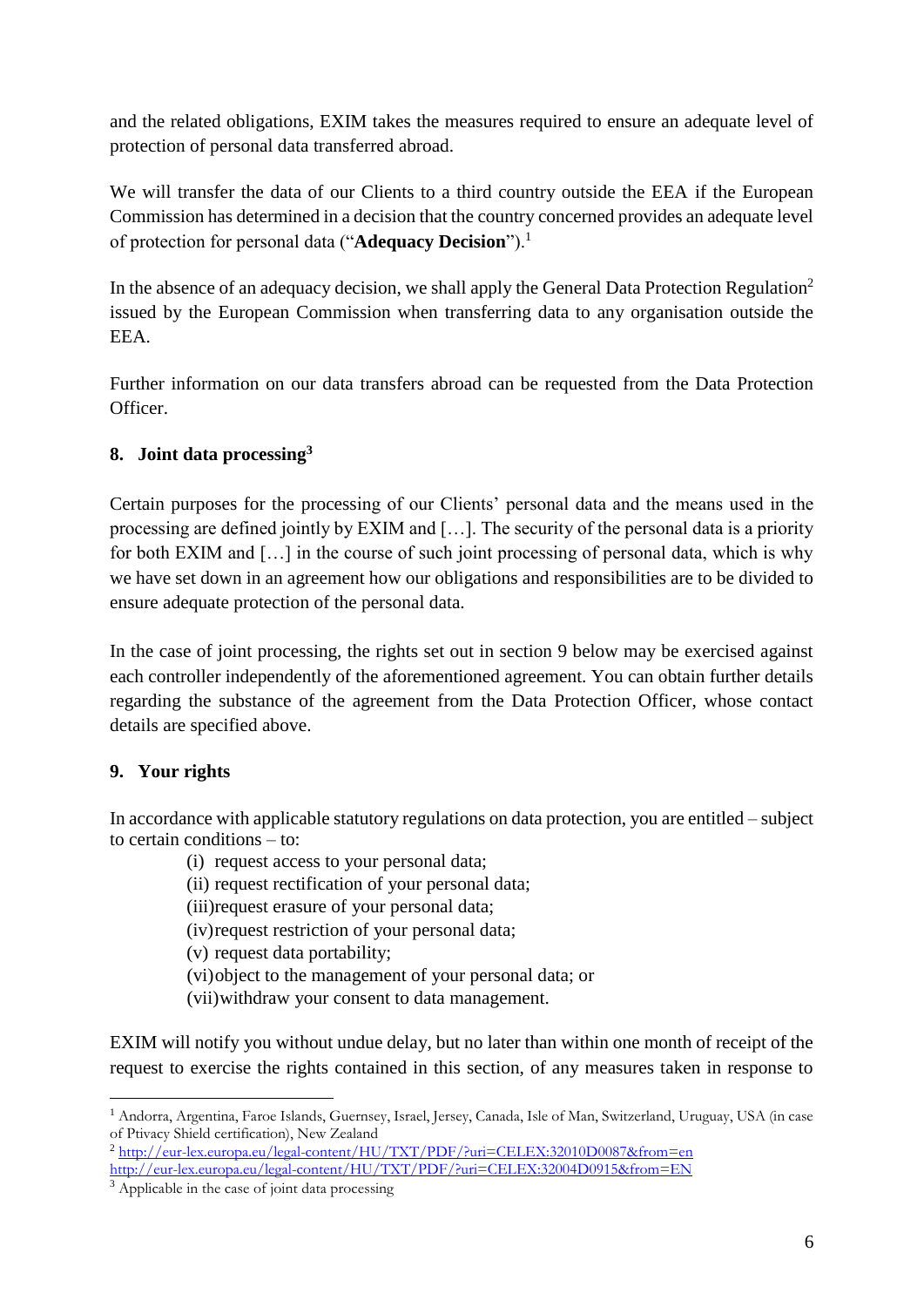and the related obligations, EXIM takes the measures required to ensure an adequate level of protection of personal data transferred abroad.

We will transfer the data of our Clients to a third country outside the EEA if the European Commission has determined in a decision that the country concerned provides an adequate level of protection for personal data ("**Adequacy Decision**").<sup>1</sup>

In the absence of an adequacy decision, we shall apply the General Data Protection Regulation<sup>2</sup> issued by the European Commission when transferring data to any organisation outside the EEA.

Further information on our data transfers abroad can be requested from the Data Protection Officer.

## **8. Joint data processing<sup>3</sup>**

Certain purposes for the processing of our Clients' personal data and the means used in the processing are defined jointly by EXIM and […]. The security of the personal data is a priority for both EXIM and […] in the course of such joint processing of personal data, which is why we have set down in an agreement how our obligations and responsibilities are to be divided to ensure adequate protection of the personal data.

In the case of joint processing, the rights set out in section 9 below may be exercised against each controller independently of the aforementioned agreement. You can obtain further details regarding the substance of the agreement from the Data Protection Officer, whose contact details are specified above.

# **9. Your rights**

1

In accordance with applicable statutory regulations on data protection, you are entitled – subject to certain conditions – to:

(i) request access to your personal data;

(ii) request rectification of your personal data;

(iii)request erasure of your personal data;

(iv)request restriction of your personal data;

(v) request data portability;

(vi)object to the management of your personal data; or

(vii)withdraw your consent to data management.

EXIM will notify you without undue delay, but no later than within one month of receipt of the request to exercise the rights contained in this section, of any measures taken in response to

<sup>1</sup> Andorra, Argentina, Faroe Islands, Guernsey, Israel, Jersey, Canada, Isle of Man, Switzerland, Uruguay, USA (in case of Ptivacy Shield certification), New Zealand

<sup>&</sup>lt;sup>2</sup> [http://eur-lex.europa.eu/legal-content/HU/TXT/PDF/?uri=CELEX:32010D0087&from=en](http://eur-lex.europa.eu/legal-content/HU/TXT/PDF/?uri=CELEX:32010D0087&amp;from=en) [http://eur-lex.europa.eu/legal-content/HU/TXT/PDF/?uri=CELEX:32004D0915&from=EN](http://eur-lex.europa.eu/legal-content/HU/TXT/PDF/?uri=CELEX:32004D0915&amp;from=EN)

 $\frac{1}{3}$  Applicable in the case of joint data processing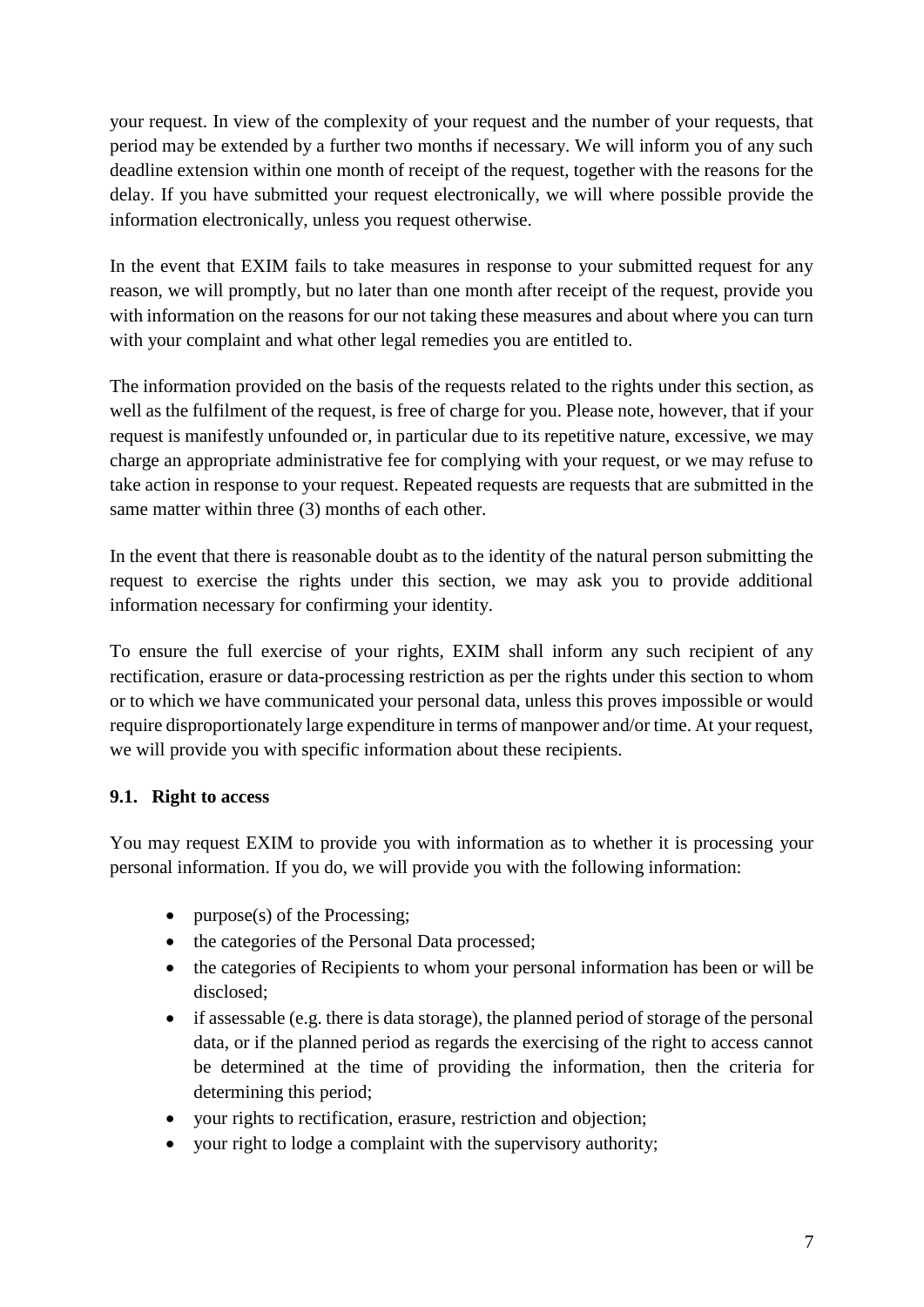your request. In view of the complexity of your request and the number of your requests, that period may be extended by a further two months if necessary. We will inform you of any such deadline extension within one month of receipt of the request, together with the reasons for the delay. If you have submitted your request electronically, we will where possible provide the information electronically, unless you request otherwise.

In the event that EXIM fails to take measures in response to your submitted request for any reason, we will promptly, but no later than one month after receipt of the request, provide you with information on the reasons for our not taking these measures and about where you can turn with your complaint and what other legal remedies you are entitled to.

The information provided on the basis of the requests related to the rights under this section, as well as the fulfilment of the request, is free of charge for you. Please note, however, that if your request is manifestly unfounded or, in particular due to its repetitive nature, excessive, we may charge an appropriate administrative fee for complying with your request, or we may refuse to take action in response to your request. Repeated requests are requests that are submitted in the same matter within three (3) months of each other.

In the event that there is reasonable doubt as to the identity of the natural person submitting the request to exercise the rights under this section, we may ask you to provide additional information necessary for confirming your identity.

To ensure the full exercise of your rights, EXIM shall inform any such recipient of any rectification, erasure or data-processing restriction as per the rights under this section to whom or to which we have communicated your personal data, unless this proves impossible or would require disproportionately large expenditure in terms of manpower and/or time. At your request, we will provide you with specific information about these recipients.

### **9.1. Right to access**

You may request EXIM to provide you with information as to whether it is processing your personal information. If you do, we will provide you with the following information:

- purpose(s) of the Processing;
- the categories of the Personal Data processed;
- the categories of Recipients to whom your personal information has been or will be disclosed;
- if assessable (e.g. there is data storage), the planned period of storage of the personal data, or if the planned period as regards the exercising of the right to access cannot be determined at the time of providing the information, then the criteria for determining this period;
- your rights to rectification, erasure, restriction and objection;
- your right to lodge a complaint with the supervisory authority;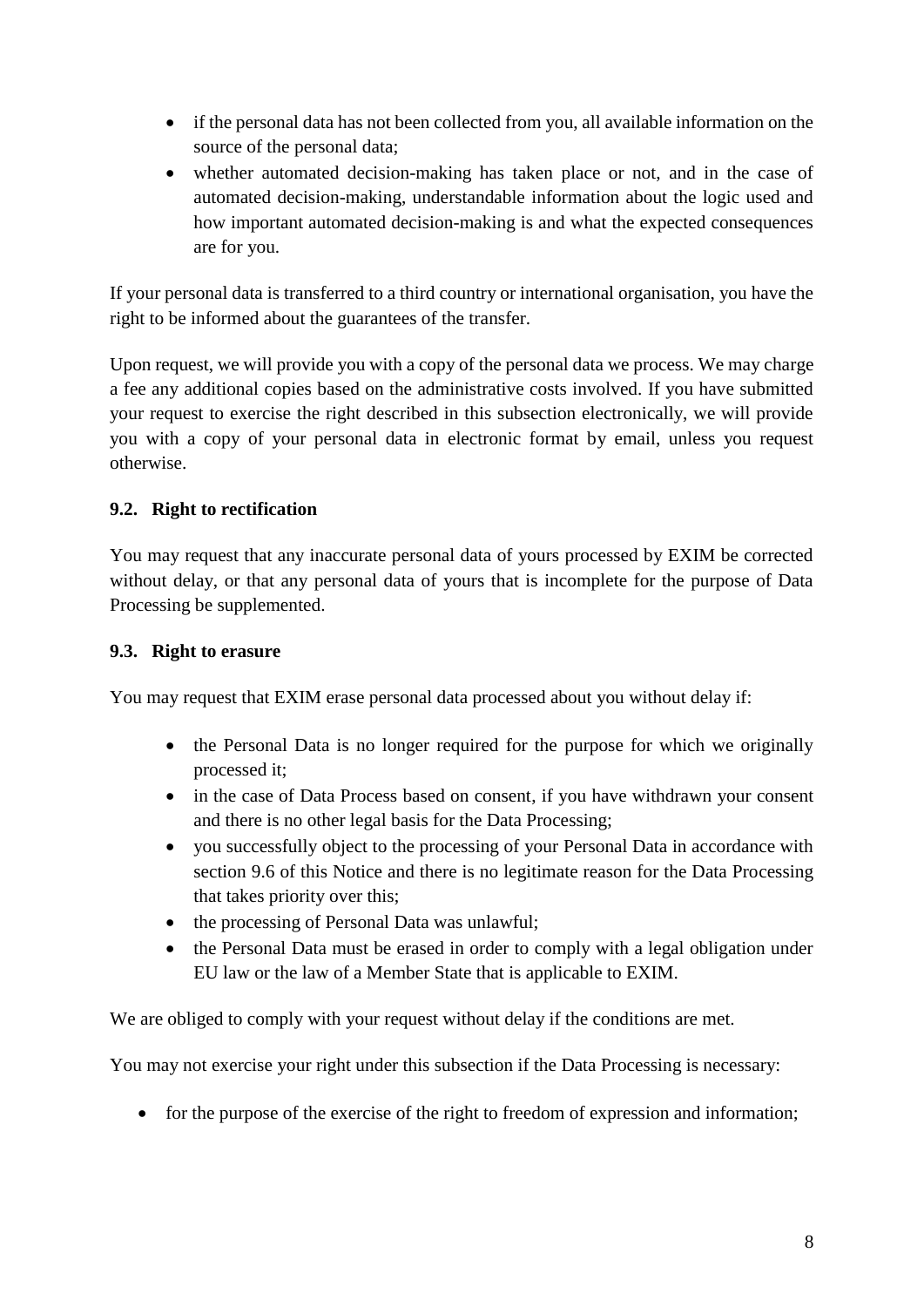- if the personal data has not been collected from you, all available information on the source of the personal data;
- whether automated decision-making has taken place or not, and in the case of automated decision-making, understandable information about the logic used and how important automated decision-making is and what the expected consequences are for you.

If your personal data is transferred to a third country or international organisation, you have the right to be informed about the guarantees of the transfer.

Upon request, we will provide you with a copy of the personal data we process. We may charge a fee any additional copies based on the administrative costs involved. If you have submitted your request to exercise the right described in this subsection electronically, we will provide you with a copy of your personal data in electronic format by email, unless you request otherwise.

### **9.2. Right to rectification**

You may request that any inaccurate personal data of yours processed by EXIM be corrected without delay, or that any personal data of yours that is incomplete for the purpose of Data Processing be supplemented.

### **9.3. Right to erasure**

You may request that EXIM erase personal data processed about you without delay if:

- the Personal Data is no longer required for the purpose for which we originally processed it;
- in the case of Data Process based on consent, if you have withdrawn your consent and there is no other legal basis for the Data Processing;
- you successfully object to the processing of your Personal Data in accordance with section 9.6 of this Notice and there is no legitimate reason for the Data Processing that takes priority over this;
- the processing of Personal Data was unlawful;
- the Personal Data must be erased in order to comply with a legal obligation under EU law or the law of a Member State that is applicable to EXIM.

We are obliged to comply with your request without delay if the conditions are met.

You may not exercise your right under this subsection if the Data Processing is necessary:

• for the purpose of the exercise of the right to freedom of expression and information;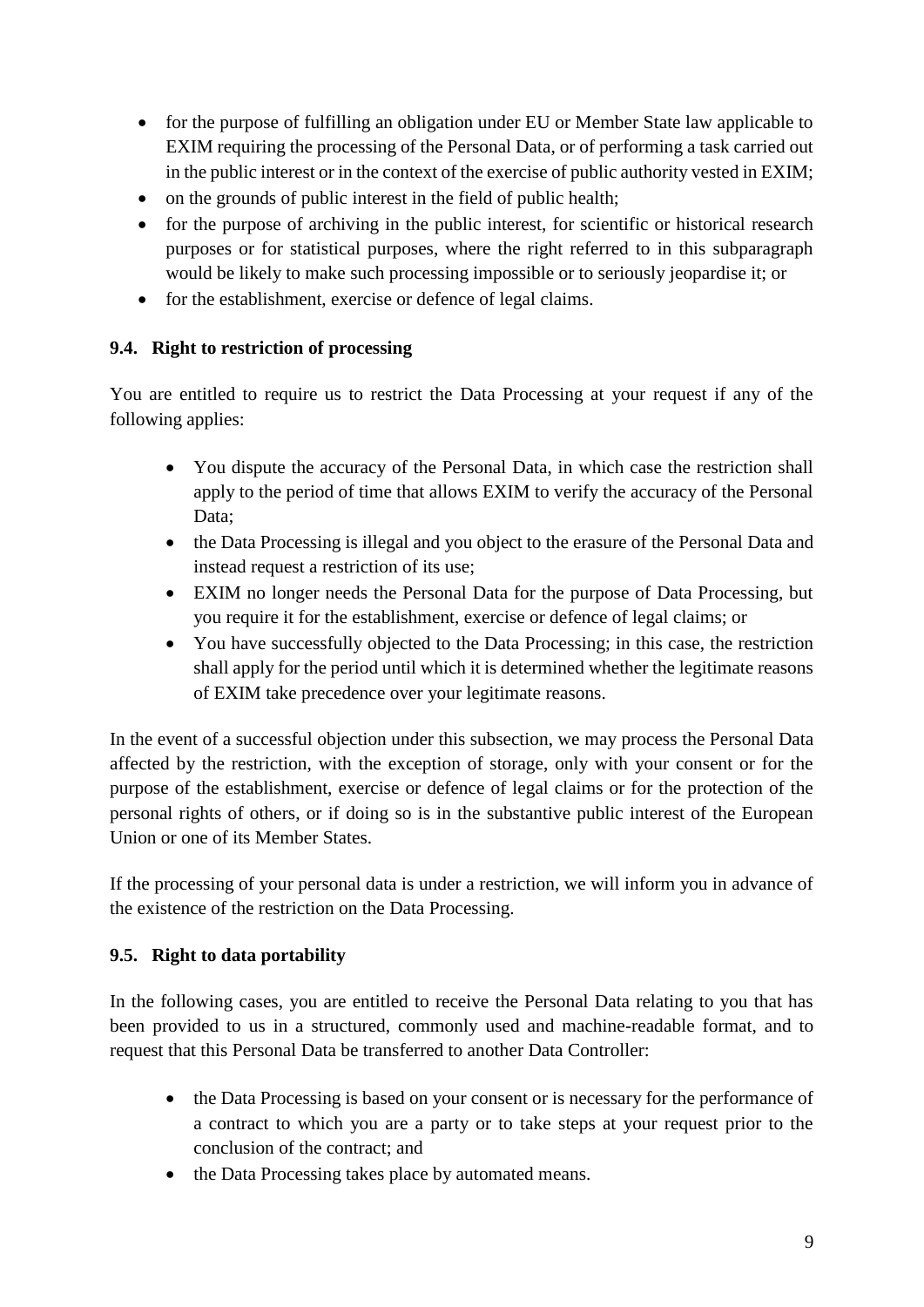- for the purpose of fulfilling an obligation under EU or Member State law applicable to EXIM requiring the processing of the Personal Data, or of performing a task carried out in the public interest or in the context of the exercise of public authority vested in EXIM;
- on the grounds of public interest in the field of public health:
- for the purpose of archiving in the public interest, for scientific or historical research purposes or for statistical purposes, where the right referred to in this subparagraph would be likely to make such processing impossible or to seriously jeopardise it; or
- for the establishment, exercise or defence of legal claims.

### **9.4. Right to restriction of processing**

You are entitled to require us to restrict the Data Processing at your request if any of the following applies:

- You dispute the accuracy of the Personal Data, in which case the restriction shall apply to the period of time that allows EXIM to verify the accuracy of the Personal Data;
- the Data Processing is illegal and you object to the erasure of the Personal Data and instead request a restriction of its use;
- EXIM no longer needs the Personal Data for the purpose of Data Processing, but you require it for the establishment, exercise or defence of legal claims; or
- You have successfully objected to the Data Processing; in this case, the restriction shall apply for the period until which it is determined whether the legitimate reasons of EXIM take precedence over your legitimate reasons.

In the event of a successful objection under this subsection, we may process the Personal Data affected by the restriction, with the exception of storage, only with your consent or for the purpose of the establishment, exercise or defence of legal claims or for the protection of the personal rights of others, or if doing so is in the substantive public interest of the European Union or one of its Member States.

If the processing of your personal data is under a restriction, we will inform you in advance of the existence of the restriction on the Data Processing.

### **9.5. Right to data portability**

In the following cases, you are entitled to receive the Personal Data relating to you that has been provided to us in a structured, commonly used and machine-readable format, and to request that this Personal Data be transferred to another Data Controller:

- the Data Processing is based on your consent or is necessary for the performance of a contract to which you are a party or to take steps at your request prior to the conclusion of the contract; and
- the Data Processing takes place by automated means.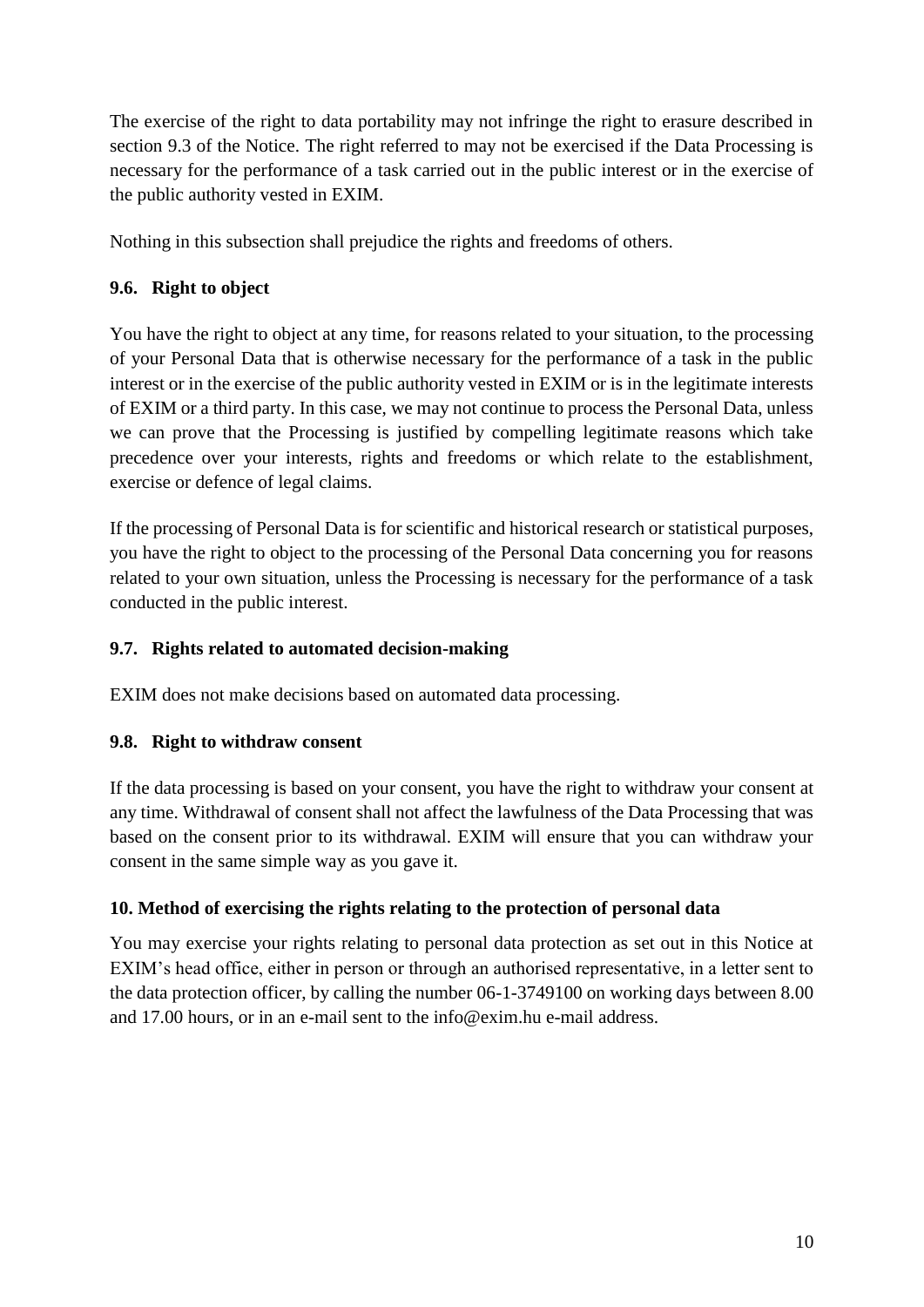The exercise of the right to data portability may not infringe the right to erasure described in section 9.3 of the Notice. The right referred to may not be exercised if the Data Processing is necessary for the performance of a task carried out in the public interest or in the exercise of the public authority vested in EXIM.

Nothing in this subsection shall prejudice the rights and freedoms of others.

# **9.6. Right to object**

You have the right to object at any time, for reasons related to your situation, to the processing of your Personal Data that is otherwise necessary for the performance of a task in the public interest or in the exercise of the public authority vested in EXIM or is in the legitimate interests of EXIM or a third party. In this case, we may not continue to process the Personal Data, unless we can prove that the Processing is justified by compelling legitimate reasons which take precedence over your interests, rights and freedoms or which relate to the establishment, exercise or defence of legal claims.

If the processing of Personal Data is for scientific and historical research or statistical purposes, you have the right to object to the processing of the Personal Data concerning you for reasons related to your own situation, unless the Processing is necessary for the performance of a task conducted in the public interest.

## **9.7. Rights related to automated decision-making**

EXIM does not make decisions based on automated data processing.

### **9.8. Right to withdraw consent**

If the data processing is based on your consent, you have the right to withdraw your consent at any time. Withdrawal of consent shall not affect the lawfulness of the Data Processing that was based on the consent prior to its withdrawal. EXIM will ensure that you can withdraw your consent in the same simple way as you gave it.

# **10. Method of exercising the rights relating to the protection of personal data**

You may exercise your rights relating to personal data protection as set out in this Notice at EXIM's head office, either in person or through an authorised representative, in a letter sent to the data protection officer, by calling the number 06-1-3749100 on working days between 8.00 and 17.00 hours, or in an e-mail sent to the info@exim.hu e-mail address.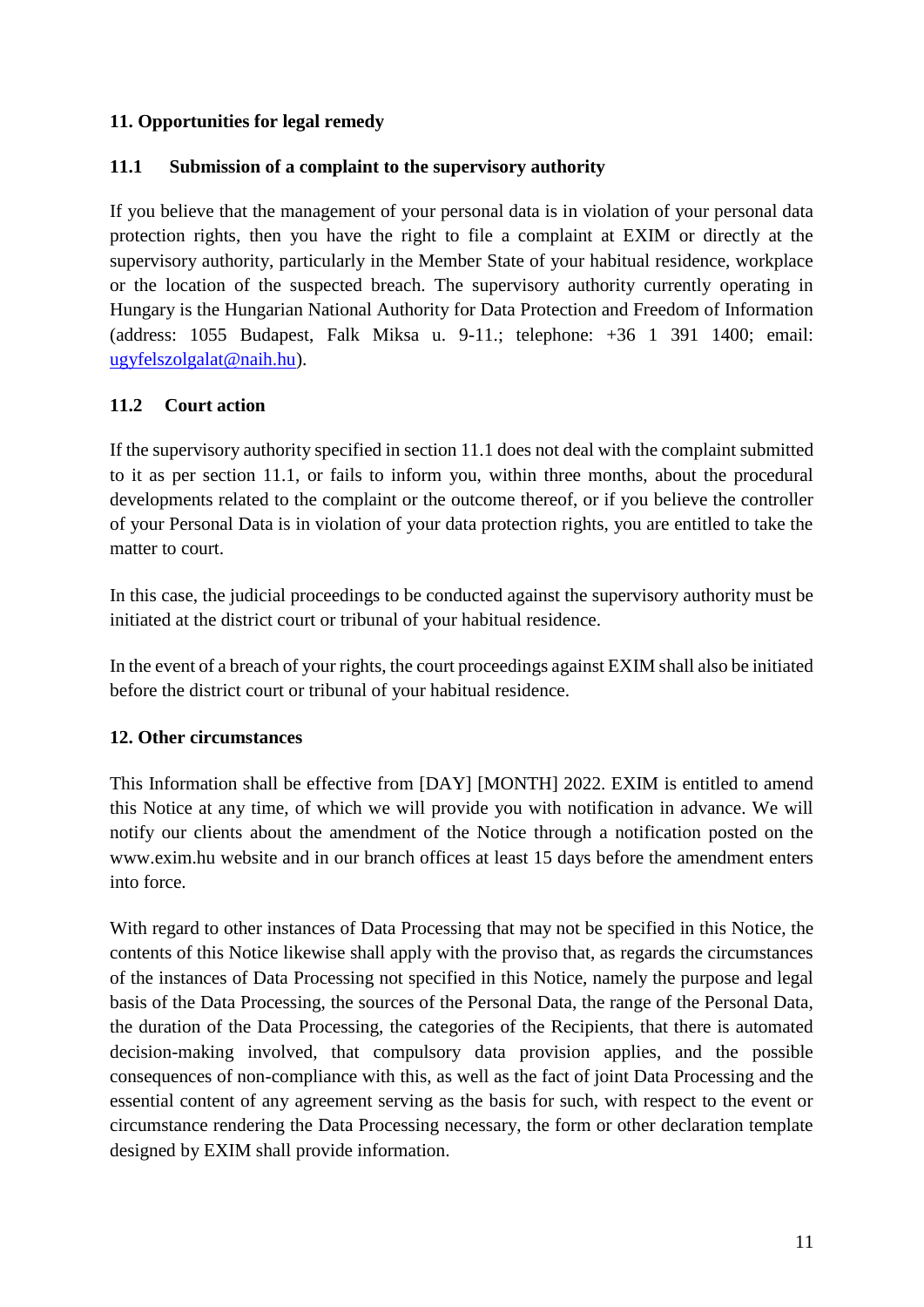### **11. Opportunities for legal remedy**

### **11.1 Submission of a complaint to the supervisory authority**

If you believe that the management of your personal data is in violation of your personal data protection rights, then you have the right to file a complaint at EXIM or directly at the supervisory authority, particularly in the Member State of your habitual residence, workplace or the location of the suspected breach. The supervisory authority currently operating in Hungary is the Hungarian National Authority for Data Protection and Freedom of Information (address: 1055 Budapest, Falk Miksa u. 9-11.; telephone: +36 1 391 1400; email: [ugyfelszolgalat@naih.hu\)](mailto:ugyfelszolgalat@naih.hu).

#### **11.2 Court action**

If the supervisory authority specified in section 11.1 does not deal with the complaint submitted to it as per section 11.1, or fails to inform you, within three months, about the procedural developments related to the complaint or the outcome thereof, or if you believe the controller of your Personal Data is in violation of your data protection rights, you are entitled to take the matter to court.

In this case, the judicial proceedings to be conducted against the supervisory authority must be initiated at the district court or tribunal of your habitual residence.

In the event of a breach of your rights, the court proceedings against EXIM shall also be initiated before the district court or tribunal of your habitual residence.

### **12. Other circumstances**

This Information shall be effective from [DAY] [MONTH] 2022. EXIM is entitled to amend this Notice at any time, of which we will provide you with notification in advance. We will notify our clients about the amendment of the Notice through a notification posted on the www.exim.hu website and in our branch offices at least 15 days before the amendment enters into force.

With regard to other instances of Data Processing that may not be specified in this Notice, the contents of this Notice likewise shall apply with the proviso that, as regards the circumstances of the instances of Data Processing not specified in this Notice, namely the purpose and legal basis of the Data Processing, the sources of the Personal Data, the range of the Personal Data, the duration of the Data Processing, the categories of the Recipients, that there is automated decision-making involved, that compulsory data provision applies, and the possible consequences of non-compliance with this, as well as the fact of joint Data Processing and the essential content of any agreement serving as the basis for such, with respect to the event or circumstance rendering the Data Processing necessary, the form or other declaration template designed by EXIM shall provide information.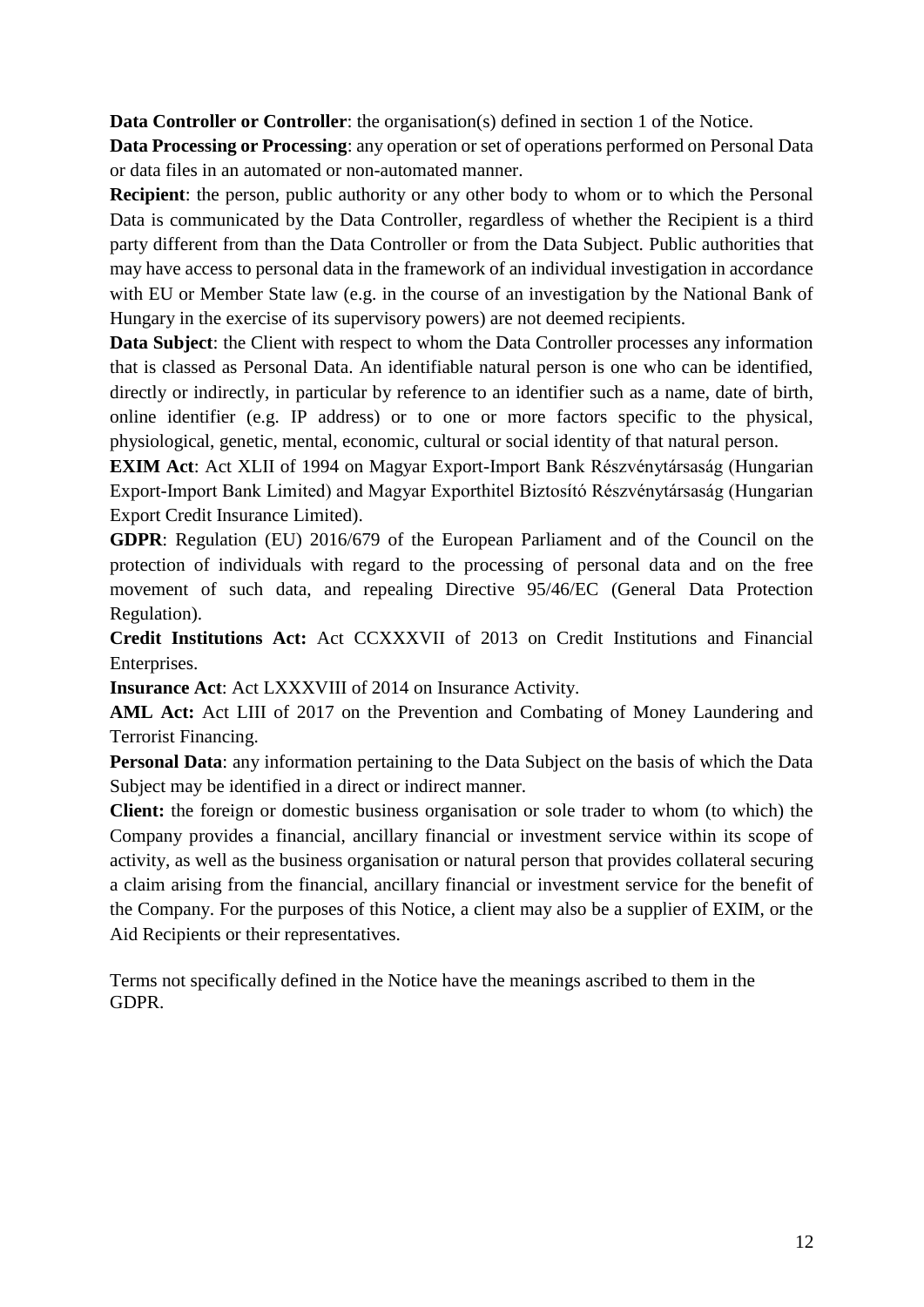**Data Controller or Controller**: the organisation(s) defined in section 1 of the Notice.

**Data Processing or Processing**: any operation or set of operations performed on Personal Data or data files in an automated or non-automated manner.

**Recipient**: the person, public authority or any other body to whom or to which the Personal Data is communicated by the Data Controller, regardless of whether the Recipient is a third party different from than the Data Controller or from the Data Subject. Public authorities that may have access to personal data in the framework of an individual investigation in accordance with EU or Member State law (e.g. in the course of an investigation by the National Bank of Hungary in the exercise of its supervisory powers) are not deemed recipients.

**Data Subject**: the Client with respect to whom the Data Controller processes any information that is classed as Personal Data. An identifiable natural person is one who can be identified, directly or indirectly, in particular by reference to an identifier such as a name, date of birth, online identifier (e.g. IP address) or to one or more factors specific to the physical, physiological, genetic, mental, economic, cultural or social identity of that natural person.

**EXIM Act**: Act XLII of 1994 on Magyar Export-Import Bank Részvénytársaság (Hungarian Export-Import Bank Limited) and Magyar Exporthitel Biztosító Részvénytársaság (Hungarian Export Credit Insurance Limited).

**GDPR**: Regulation (EU) 2016/679 of the European Parliament and of the Council on the protection of individuals with regard to the processing of personal data and on the free movement of such data, and repealing Directive 95/46/EC (General Data Protection Regulation).

**Credit Institutions Act:** Act CCXXXVII of 2013 on Credit Institutions and Financial Enterprises.

**Insurance Act**: Act LXXXVIII of 2014 [o](https://net.jogtar.hu/jogszabaly?docid=A1400088.TV#lbj0id667d)n Insurance Activity.

**AML Act:** Act LIII of 2017 on the Prevention and Combating of Money Laundering and Terrorist Financing.

**Personal Data**: any information pertaining to the Data Subject on the basis of which the Data Subject may be identified in a direct or indirect manner.

**Client:** the foreign or domestic business organisation or sole trader to whom (to which) the Company provides a financial, ancillary financial or investment service within its scope of activity, as well as the business organisation or natural person that provides collateral securing a claim arising from the financial, ancillary financial or investment service for the benefit of the Company. For the purposes of this Notice, a client may also be a supplier of EXIM, or the Aid Recipients or their representatives.

Terms not specifically defined in the Notice have the meanings ascribed to them in the GDPR.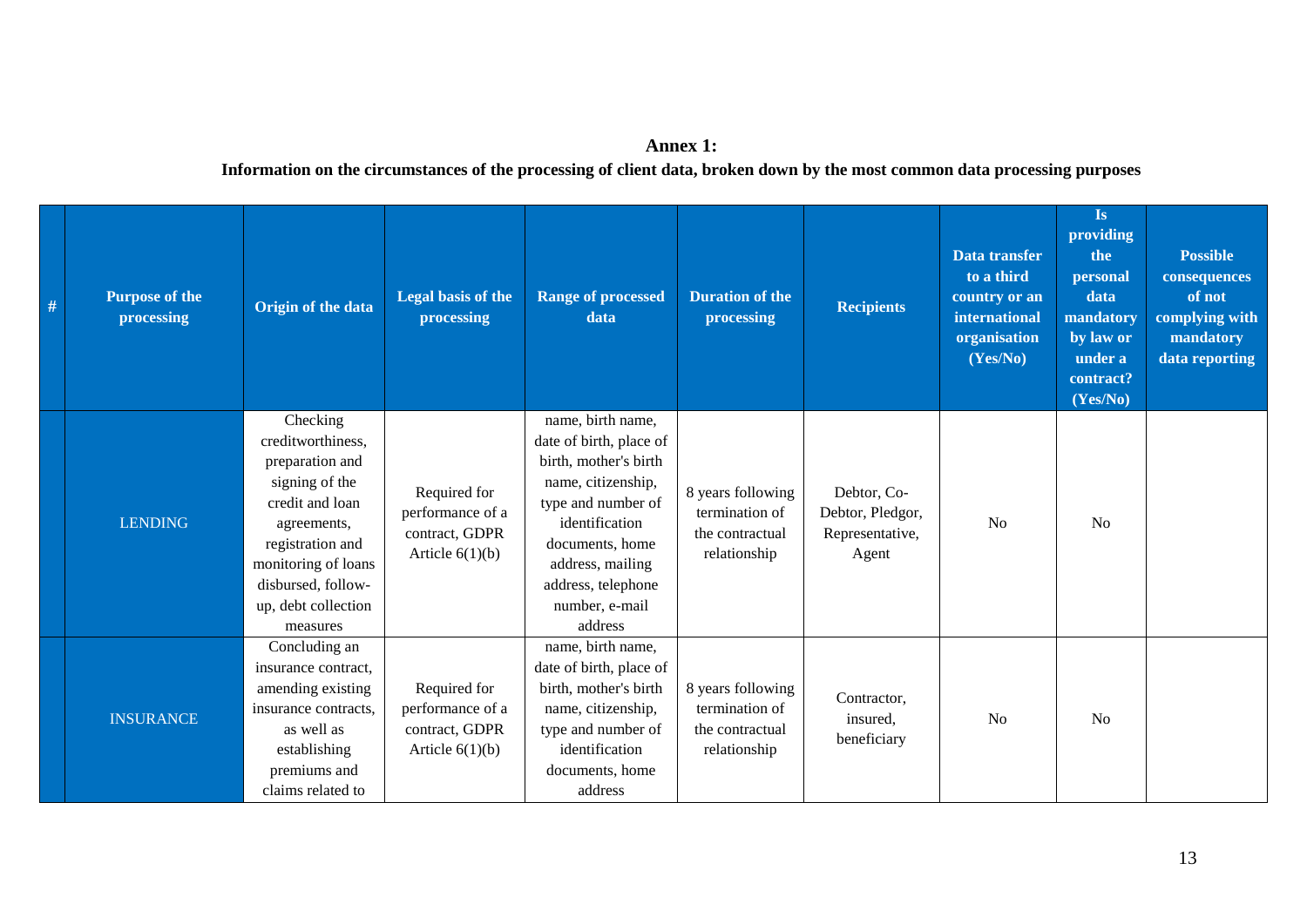## **Annex 1:**

#### **Information on the circumstances of the processing of client data, broken down by the most common data processing purposes**

| $\#$ | <b>Purpose of the</b><br>processing | Origin of the data                                                                                                                                                                                       | Legal basis of the<br>processing                                        | <b>Range of processed</b><br>data                                                                                                                                                                                             | <b>Duration of the</b><br>processing                                   | <b>Recipients</b>                                           | Data transfer<br>to a third<br>country or an<br>international<br>organisation<br>(Yes/No) | Is<br>providing<br>the<br>personal<br>data<br>mandatory<br>by law or<br>under a<br>contract?<br>(Yes/No) | <b>Possible</b><br>consequences<br>of not<br>complying with<br>mandatory<br>data reporting |
|------|-------------------------------------|----------------------------------------------------------------------------------------------------------------------------------------------------------------------------------------------------------|-------------------------------------------------------------------------|-------------------------------------------------------------------------------------------------------------------------------------------------------------------------------------------------------------------------------|------------------------------------------------------------------------|-------------------------------------------------------------|-------------------------------------------------------------------------------------------|----------------------------------------------------------------------------------------------------------|--------------------------------------------------------------------------------------------|
|      | <b>LENDING</b>                      | Checking<br>creditworthiness,<br>preparation and<br>signing of the<br>credit and loan<br>agreements,<br>registration and<br>monitoring of loans<br>disbursed, follow-<br>up, debt collection<br>measures | Required for<br>performance of a<br>contract, GDPR<br>Article $6(1)(b)$ | name, birth name,<br>date of birth, place of<br>birth, mother's birth<br>name, citizenship,<br>type and number of<br>identification<br>documents, home<br>address, mailing<br>address, telephone<br>number, e-mail<br>address | 8 years following<br>termination of<br>the contractual<br>relationship | Debtor, Co-<br>Debtor, Pledgor,<br>Representative,<br>Agent | N <sub>o</sub>                                                                            | <b>No</b>                                                                                                |                                                                                            |
|      | <b>INSURANCE</b>                    | Concluding an<br>insurance contract.<br>amending existing<br>insurance contracts,<br>as well as<br>establishing<br>premiums and<br>claims related to                                                     | Required for<br>performance of a<br>contract, GDPR<br>Article $6(1)(b)$ | name, birth name,<br>date of birth, place of<br>birth, mother's birth<br>name, citizenship,<br>type and number of<br>identification<br>documents, home<br>address                                                             | 8 years following<br>termination of<br>the contractual<br>relationship | Contractor,<br>insured.<br>beneficiary                      | N <sub>o</sub>                                                                            | N <sub>o</sub>                                                                                           |                                                                                            |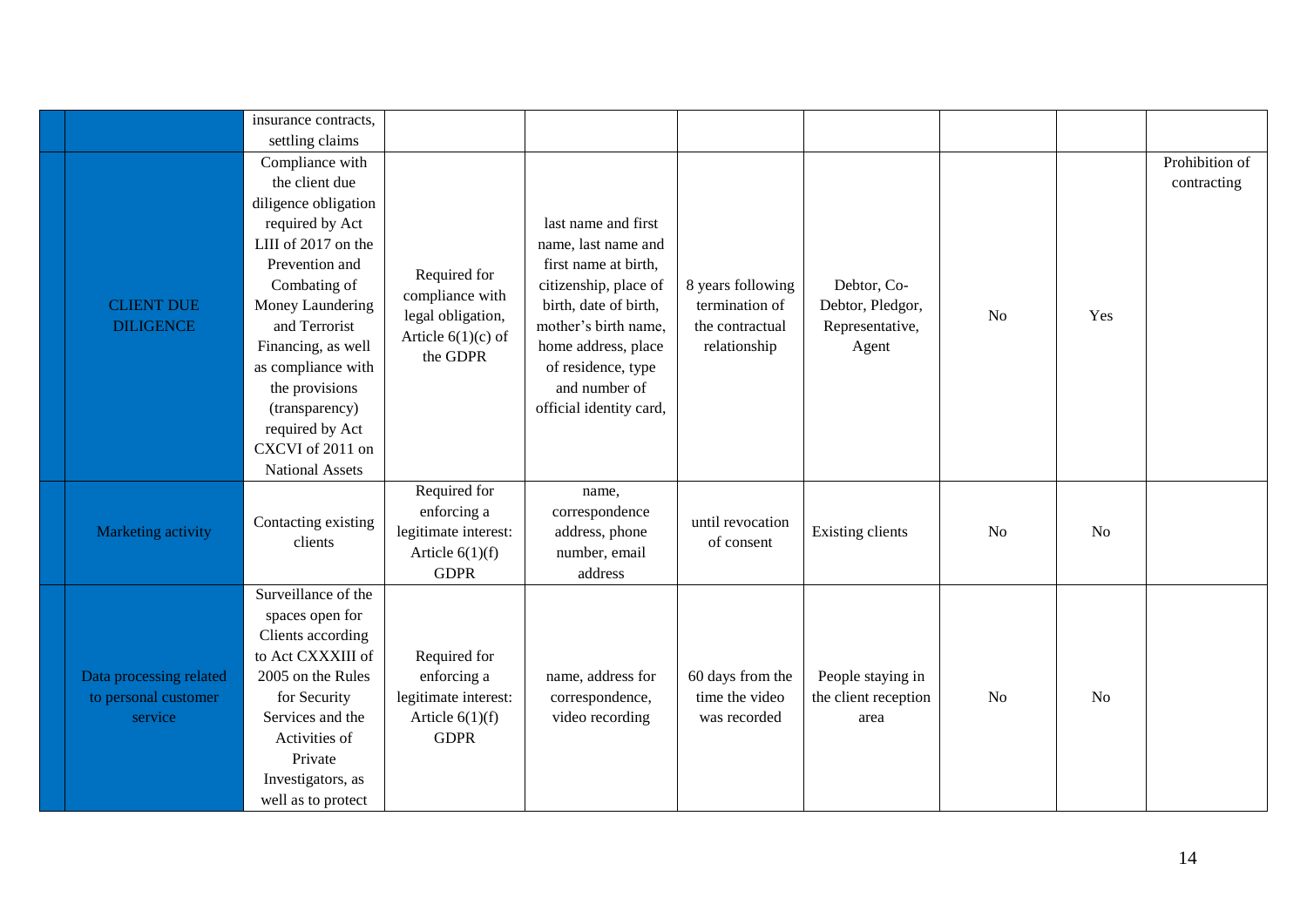|                                                            | insurance contracts,<br>settling claims                                                                                                                                                                                                                                                                                     |                                                                                          |                                                                                                                                                                                                                                       |                                                                        |                                                             |                |                |                               |
|------------------------------------------------------------|-----------------------------------------------------------------------------------------------------------------------------------------------------------------------------------------------------------------------------------------------------------------------------------------------------------------------------|------------------------------------------------------------------------------------------|---------------------------------------------------------------------------------------------------------------------------------------------------------------------------------------------------------------------------------------|------------------------------------------------------------------------|-------------------------------------------------------------|----------------|----------------|-------------------------------|
| <b>CLIENT DUE</b><br><b>DILIGENCE</b>                      | Compliance with<br>the client due<br>diligence obligation<br>required by Act<br>LIII of 2017 on the<br>Prevention and<br>Combating of<br>Money Laundering<br>and Terrorist<br>Financing, as well<br>as compliance with<br>the provisions<br>(transparency)<br>required by Act<br>CXCVI of 2011 on<br><b>National Assets</b> | Required for<br>compliance with<br>legal obligation,<br>Article $6(1)(c)$ of<br>the GDPR | last name and first<br>name, last name and<br>first name at birth,<br>citizenship, place of<br>birth, date of birth,<br>mother's birth name,<br>home address, place<br>of residence, type<br>and number of<br>official identity card, | 8 years following<br>termination of<br>the contractual<br>relationship | Debtor, Co-<br>Debtor, Pledgor,<br>Representative,<br>Agent | N <sub>o</sub> | Yes            | Prohibition of<br>contracting |
| Marketing activity                                         | Contacting existing<br>clients                                                                                                                                                                                                                                                                                              | Required for<br>enforcing a<br>legitimate interest:<br>Article $6(1)(f)$<br><b>GDPR</b>  | name,<br>correspondence<br>address, phone<br>number, email<br>address                                                                                                                                                                 | until revocation<br>of consent                                         | <b>Existing clients</b>                                     | N <sub>o</sub> | N <sub>o</sub> |                               |
| Data processing related<br>to personal customer<br>service | Surveillance of the<br>spaces open for<br>Clients according<br>to Act CXXXIII of<br>2005 on the Rules<br>for Security<br>Services and the<br>Activities of<br>Private<br>Investigators, as<br>well as to protect                                                                                                            | Required for<br>enforcing a<br>legitimate interest:<br>Article $6(1)(f)$<br><b>GDPR</b>  | name, address for<br>correspondence,<br>video recording                                                                                                                                                                               | 60 days from the<br>time the video<br>was recorded                     | People staying in<br>the client reception<br>area           | No             | N <sub>o</sub> |                               |